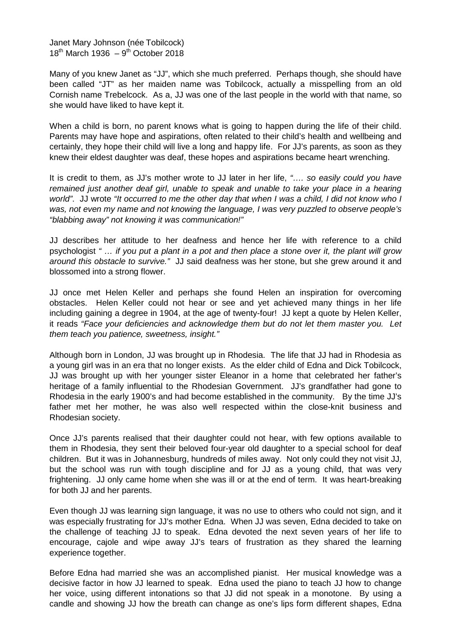Janet Mary Johnson (née Tobilcock)  $18<sup>th</sup>$  March 1936 –  $9<sup>th</sup>$  October 2018

Many of you knew Janet as "JJ", which she much preferred. Perhaps though, she should have been called "JT" as her maiden name was Tobilcock, actually a misspelling from an old Cornish name Trebelcock. As a, JJ was one of the last people in the world with that name, so she would have liked to have kept it.

When a child is born, no parent knows what is going to happen during the life of their child. Parents may have hope and aspirations, often related to their child's health and wellbeing and certainly, they hope their child will live a long and happy life. For JJ's parents, as soon as they knew their eldest daughter was deaf, these hopes and aspirations became heart wrenching.

It is credit to them, as JJ's mother wrote to JJ later in her life, *"…. so easily could you have*  remained just another deaf girl, unable to speak and unable to take your place in a hearing *world"*. JJ wrote *"It occurred to me the other day that when I was a child, I did not know who I was, not even my name and not knowing the language, I was very puzzled to observe people's "blabbing away" not knowing it was communication!"*

JJ describes her attitude to her deafness and hence her life with reference to a child psychologist *" … if you put a plant in a pot and then place a stone over it, the plant will grow around this obstacle to survive."* JJ said deafness was her stone, but she grew around it and blossomed into a strong flower.

JJ once met Helen Keller and perhaps she found Helen an inspiration for overcoming obstacles. Helen Keller could not hear or see and yet achieved many things in her life including gaining a degree in 1904, at the age of twenty-four! JJ kept a quote by Helen Keller, it reads *"Face your deficiencies and acknowledge them but do not let them master you. Let them teach you patience, sweetness, insight."*

Although born in London, JJ was brought up in Rhodesia. The life that JJ had in Rhodesia as a young girl was in an era that no longer exists. As the elder child of Edna and Dick Tobilcock, JJ was brought up with her younger sister Eleanor in a home that celebrated her father's heritage of a family influential to the Rhodesian Government. JJ's grandfather had gone to Rhodesia in the early 1900's and had become established in the community. By the time JJ's father met her mother, he was also well respected within the close-knit business and Rhodesian society.

Once JJ's parents realised that their daughter could not hear, with few options available to them in Rhodesia, they sent their beloved four-year old daughter to a special school for deaf children. But it was in Johannesburg, hundreds of miles away. Not only could they not visit JJ, but the school was run with tough discipline and for JJ as a young child, that was very frightening. JJ only came home when she was ill or at the end of term. It was heart-breaking for both JJ and her parents.

Even though JJ was learning sign language, it was no use to others who could not sign, and it was especially frustrating for JJ's mother Edna. When JJ was seven, Edna decided to take on the challenge of teaching JJ to speak. Edna devoted the next seven years of her life to encourage, cajole and wipe away JJ's tears of frustration as they shared the learning experience together.

Before Edna had married she was an accomplished pianist. Her musical knowledge was a decisive factor in how JJ learned to speak. Edna used the piano to teach JJ how to change her voice, using different intonations so that JJ did not speak in a monotone. By using a candle and showing JJ how the breath can change as one's lips form different shapes, Edna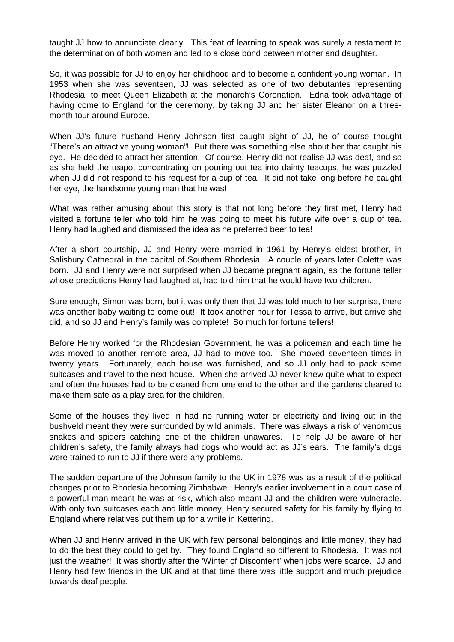taught JJ how to annunciate clearly. This feat of learning to speak was surely a testament to the determination of both women and led to a close bond between mother and daughter.

So, it was possible for JJ to enjoy her childhood and to become a confident young woman. In 1953 when she was seventeen, JJ was selected as one of two debutantes representing Rhodesia, to meet Queen Elizabeth at the monarch's Coronation. Edna took advantage of having come to England for the ceremony, by taking JJ and her sister Eleanor on a threemonth tour around Europe.

When JJ's future husband Henry Johnson first caught sight of JJ, he of course thought "There's an attractive young woman"! But there was something else about her that caught his eye. He decided to attract her attention. Of course, Henry did not realise JJ was deaf, and so as she held the teapot concentrating on pouring out tea into dainty teacups, he was puzzled when JJ did not respond to his request for a cup of tea. It did not take long before he caught her eye, the handsome young man that he was!

What was rather amusing about this story is that not long before they first met, Henry had visited a fortune teller who told him he was going to meet his future wife over a cup of tea. Henry had laughed and dismissed the idea as he preferred beer to tea!

After a short courtship, JJ and Henry were married in 1961 by Henry's eldest brother, in Salisbury Cathedral in the capital of Southern Rhodesia. A couple of years later Colette was born. JJ and Henry were not surprised when JJ became pregnant again, as the fortune teller whose predictions Henry had laughed at, had told him that he would have two children.

Sure enough, Simon was born, but it was only then that JJ was told much to her surprise, there was another baby waiting to come out! It took another hour for Tessa to arrive, but arrive she did, and so JJ and Henry's family was complete! So much for fortune tellers!

Before Henry worked for the Rhodesian Government, he was a policeman and each time he was moved to another remote area, JJ had to move too. She moved seventeen times in twenty years. Fortunately, each house was furnished, and so JJ only had to pack some suitcases and travel to the next house. When she arrived JJ never knew quite what to expect and often the houses had to be cleaned from one end to the other and the gardens cleared to make them safe as a play area for the children.

Some of the houses they lived in had no running water or electricity and living out in the bushveld meant they were surrounded by wild animals. There was always a risk of venomous snakes and spiders catching one of the children unawares. To help JJ be aware of her children's safety, the family always had dogs who would act as JJ's ears. The family's dogs were trained to run to JJ if there were any problems.

The sudden departure of the Johnson family to the UK in 1978 was as a result of the political changes prior to Rhodesia becoming Zimbabwe. Henry's earlier involvement in a court case of a powerful man meant he was at risk, which also meant JJ and the children were vulnerable. With only two suitcases each and little money, Henry secured safety for his family by flying to England where relatives put them up for a while in Kettering.

When JJ and Henry arrived in the UK with few personal belongings and little money, they had to do the best they could to get by. They found England so different to Rhodesia. It was not just the weather! It was shortly after the 'Winter of Discontent' when jobs were scarce. JJ and Henry had few friends in the UK and at that time there was little support and much prejudice towards deaf people.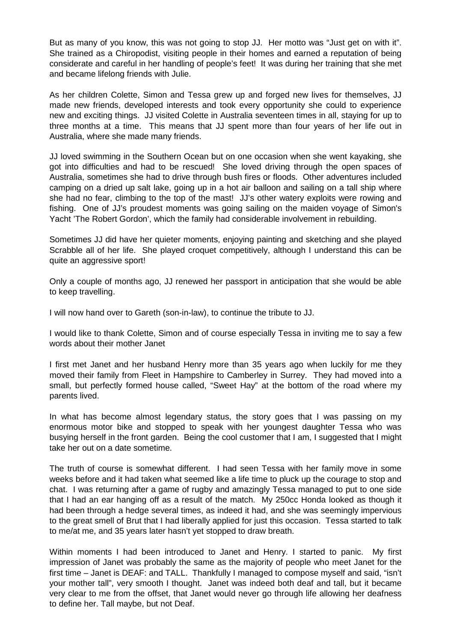But as many of you know, this was not going to stop JJ. Her motto was "Just get on with it". She trained as a Chiropodist, visiting people in their homes and earned a reputation of being considerate and careful in her handling of people's feet! It was during her training that she met and became lifelong friends with Julie.

As her children Colette, Simon and Tessa grew up and forged new lives for themselves, JJ made new friends, developed interests and took every opportunity she could to experience new and exciting things. JJ visited Colette in Australia seventeen times in all, staying for up to three months at a time. This means that JJ spent more than four years of her life out in Australia, where she made many friends.

JJ loved swimming in the Southern Ocean but on one occasion when she went kayaking, she got into difficulties and had to be rescued! She loved driving through the open spaces of Australia, sometimes she had to drive through bush fires or floods. Other adventures included camping on a dried up salt lake, going up in a hot air balloon and sailing on a tall ship where she had no fear, climbing to the top of the mast! JJ's other watery exploits were rowing and fishing. One of JJ's proudest moments was going sailing on the maiden voyage of Simon's Yacht 'The Robert Gordon', which the family had considerable involvement in rebuilding.

Sometimes JJ did have her quieter moments, enjoying painting and sketching and she played Scrabble all of her life. She played croquet competitively, although I understand this can be quite an aggressive sport!

Only a couple of months ago, JJ renewed her passport in anticipation that she would be able to keep travelling.

I will now hand over to Gareth (son-in-law), to continue the tribute to JJ.

I would like to thank Colette, Simon and of course especially Tessa in inviting me to say a few words about their mother Janet

I first met Janet and her husband Henry more than 35 years ago when luckily for me they moved their family from Fleet in Hampshire to Camberley in Surrey. They had moved into a small, but perfectly formed house called, "Sweet Hay" at the bottom of the road where my parents lived.

In what has become almost legendary status, the story goes that I was passing on my enormous motor bike and stopped to speak with her youngest daughter Tessa who was busying herself in the front garden. Being the cool customer that I am, I suggested that I might take her out on a date sometime.

The truth of course is somewhat different. I had seen Tessa with her family move in some weeks before and it had taken what seemed like a life time to pluck up the courage to stop and chat. I was returning after a game of rugby and amazingly Tessa managed to put to one side that I had an ear hanging off as a result of the match. My 250cc Honda looked as though it had been through a hedge several times, as indeed it had, and she was seemingly impervious to the great smell of Brut that I had liberally applied for just this occasion. Tessa started to talk to me/at me, and 35 years later hasn't yet stopped to draw breath.

Within moments I had been introduced to Janet and Henry. I started to panic. My first impression of Janet was probably the same as the majority of people who meet Janet for the first time – Janet is DEAF: and TALL. Thankfully I managed to compose myself and said, "isn't your mother tall", very smooth I thought. Janet was indeed both deaf and tall, but it became very clear to me from the offset, that Janet would never go through life allowing her deafness to define her. Tall maybe, but not Deaf.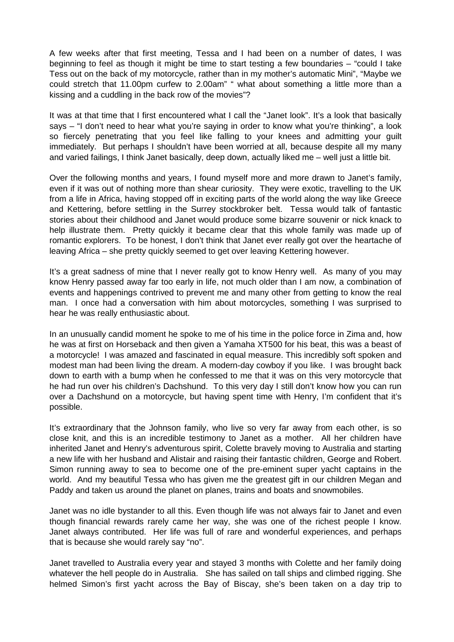A few weeks after that first meeting, Tessa and I had been on a number of dates, I was beginning to feel as though it might be time to start testing a few boundaries – "could I take Tess out on the back of my motorcycle, rather than in my mother's automatic Mini", "Maybe we could stretch that 11.00pm curfew to 2.00am" " what about something a little more than a kissing and a cuddling in the back row of the movies"?

It was at that time that I first encountered what I call the "Janet look". It's a look that basically says – "I don't need to hear what you're saying in order to know what you're thinking", a look so fiercely penetrating that you feel like falling to your knees and admitting your guilt immediately. But perhaps I shouldn't have been worried at all, because despite all my many and varied failings, I think Janet basically, deep down, actually liked me – well just a little bit.

Over the following months and years, I found myself more and more drawn to Janet's family, even if it was out of nothing more than shear curiosity. They were exotic, travelling to the UK from a life in Africa, having stopped off in exciting parts of the world along the way like Greece and Kettering, before settling in the Surrey stockbroker belt. Tessa would talk of fantastic stories about their childhood and Janet would produce some bizarre souvenir or nick knack to help illustrate them. Pretty quickly it became clear that this whole family was made up of romantic explorers. To be honest, I don't think that Janet ever really got over the heartache of leaving Africa – she pretty quickly seemed to get over leaving Kettering however.

It's a great sadness of mine that I never really got to know Henry well. As many of you may know Henry passed away far too early in life, not much older than I am now, a combination of events and happenings contrived to prevent me and many other from getting to know the real man. I once had a conversation with him about motorcycles, something I was surprised to hear he was really enthusiastic about.

In an unusually candid moment he spoke to me of his time in the police force in Zima and, how he was at first on Horseback and then given a Yamaha XT500 for his beat, this was a beast of a motorcycle! I was amazed and fascinated in equal measure. This incredibly soft spoken and modest man had been living the dream. A modern-day cowboy if you like. I was brought back down to earth with a bump when he confessed to me that it was on this very motorcycle that he had run over his children's Dachshund. To this very day I still don't know how you can run over a Dachshund on a motorcycle, but having spent time with Henry, I'm confident that it's possible.

It's extraordinary that the Johnson family, who live so very far away from each other, is so close knit, and this is an incredible testimony to Janet as a mother. All her children have inherited Janet and Henry's adventurous spirit, Colette bravely moving to Australia and starting a new life with her husband and Alistair and raising their fantastic children, George and Robert. Simon running away to sea to become one of the pre-eminent super yacht captains in the world. And my beautiful Tessa who has given me the greatest gift in our children Megan and Paddy and taken us around the planet on planes, trains and boats and snowmobiles.

Janet was no idle bystander to all this. Even though life was not always fair to Janet and even though financial rewards rarely came her way, she was one of the richest people I know. Janet always contributed. Her life was full of rare and wonderful experiences, and perhaps that is because she would rarely say "no".

Janet travelled to Australia every year and stayed 3 months with Colette and her family doing whatever the hell people do in Australia. She has sailed on tall ships and climbed rigging. She helmed Simon's first yacht across the Bay of Biscay, she's been taken on a day trip to